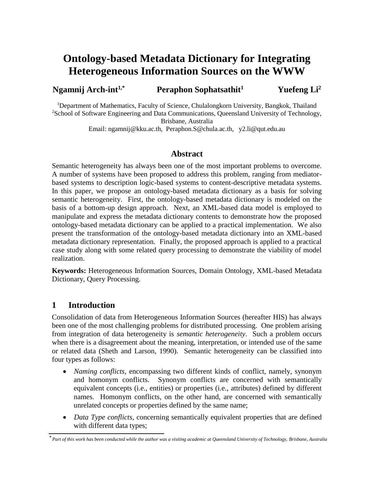# **Ontology-based Metadata Dictionary for Integrating Heterogeneous Information Sources on the WWW**

#### **Ngamnij Arch-int1,\* Peraphon Sophatsathit<sup>1</sup> Yuefeng Li<sup>2</sup>**

<sup>1</sup>Department of Mathematics, Faculty of Science, Chulalongkorn University, Bangkok, Thailand <sup>2</sup>School of Software Engineering and Data Communications, Queensland University of Technology, Brisbane, Australia

Email: ngamnij@kku.ac.th, Peraphon.S@chula.ac.th, y2.li@qut.edu.au

#### **Abstract**

Semantic heterogeneity has always been one of the most important problems to overcome. A number of systems have been proposed to address this problem, ranging from mediatorbased systems to description logic-based systems to content-descriptive metadata systems. In this paper, we propose an ontology-based metadata dictionary as a basis for solving semantic heterogeneity. First, the ontology-based metadata dictionary is modeled on the basis of a bottom-up design approach. Next, an XML-based data model is employed to manipulate and express the metadata dictionary contents to demonstrate how the proposed ontology-based metadata dictionary can be applied to a practical implementation. We also present the transformation of the ontology-based metadata dictionary into an XML-based metadata dictionary representation. Finally, the proposed approach is applied to a practical case study along with some related query processing to demonstrate the viability of model realization.

**Keywords:** Heterogeneous Information Sources, Domain Ontology, XML-based Metadata Dictionary, Query Processing.

## **1 Introduction**

Consolidation of data from Heterogeneous Information Sources (hereafter HIS) has always been one of the most challenging problems for distributed processing. One problem arising from integration of data heterogeneity is *semantic heterogeneity*. Such a problem occurs when there is a disagreement about the meaning, interpretation, or intended use of the same or related data (Sheth and Larson, 1990). Semantic heterogeneity can be classified into four types as follows:

- *Naming conflicts*, encompassing two different kinds of conflict, namely, synonym and homonym conflicts. Synonym conflicts are concerned with semantically equivalent concepts (i.e., entities) or properties (i.e., attributes) defined by different names. Homonym conflicts, on the other hand, are concerned with semantically unrelated concepts or properties defined by the same name;
- *Data Type conflicts*, concerning semantically equivalent properties that are defined with different data types;

**<sup>\*</sup>** *Part of this work has been conducted while the author was a visiting academic at Queensland University of Technology, Brisbane, Australia*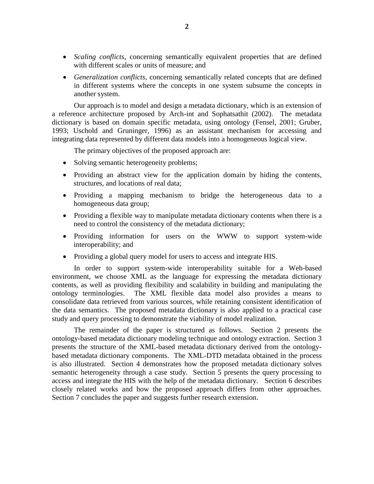- *Scaling conflicts*, concerning semantically equivalent properties that are defined with different scales or units of measure; and
- *Generalization conflicts*, concerning semantically related concepts that are defined in different systems where the concepts in one system subsume the concepts in another system.

Our approach is to model and design a metadata dictionary, which is an extension of a reference architecture proposed by Arch-int and Sophatsathit (2002). The metadata dictionary is based on domain specific metadata, using ontology (Fensel, 2001; Gruber, 1993; Uschold and Gruninger, 1996) as an assistant mechanism for accessing and integrating data represented by different data models into a homogeneous logical view.

The primary objectives of the proposed approach are:

- Solving semantic heterogeneity problems;
- Providing an abstract view for the application domain by hiding the contents, structures, and locations of real data;
- Providing a mapping mechanism to bridge the heterogeneous data to a homogeneous data group;
- Providing a flexible way to manipulate metadata dictionary contents when there is a need to control the consistency of the metadata dictionary;
- Providing information for users on the WWW to support system-wide interoperability; and
- Providing a global query model for users to access and integrate HIS.

In order to support system-wide interoperability suitable for a Web-based environment, we choose XML as the language for expressing the metadata dictionary contents, as well as providing flexibility and scalability in building and manipulating the ontology terminologies. The XML flexible data model also provides a means to consolidate data retrieved from various sources, while retaining consistent identification of the data semantics. The proposed metadata dictionary is also applied to a practical case study and query processing to demonstrate the viability of model realization.

The remainder of the paper is structured as follows. Section 2 presents the ontology-based metadata dictionary modeling technique and ontology extraction. Section 3 presents the structure of the XML-based metadata dictionary derived from the ontologybased metadata dictionary components. The XML-DTD metadata obtained in the process is also illustrated. Section 4 demonstrates how the proposed metadata dictionary solves semantic heterogeneity through a case study. Section 5 presents the query processing to access and integrate the HIS with the help of the metadata dictionary. Section 6 describes closely related works and how the proposed approach differs from other approaches. Section 7 concludes the paper and suggests further research extension.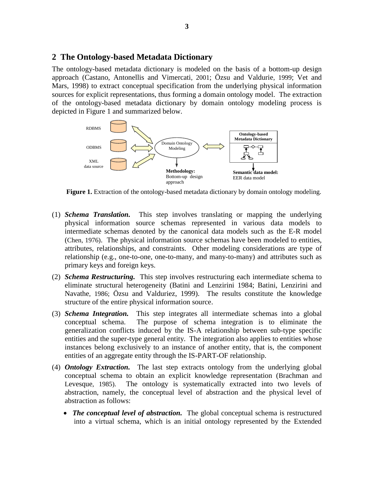#### **2 The Ontology-based Metadata Dictionary**

The ontology-based metadata dictionary is modeled on the basis of a bottom-up design approach (Castano, Antonellis and Vimercati, 2001; Özsu and Valdurie, 1999; Vet and Mars, 1998) to extract conceptual specification from the underlying physical information sources for explicit representations, thus forming a domain ontology model. The extraction of the ontology-based metadata dictionary by domain ontology modeling process is depicted in Figure 1 and summarized below.



**Figure 1.** Extraction of the ontology-based metadata dictionary by domain ontology modeling.

- (1) *Schema Translation.* This step involves translating or mapping the underlying physical information source schemas represented in various data models to intermediate schemas denoted by the canonical data models such as the E-R model (Chen, 1976). The physical information source schemas have been modeled to entities, attributes, relationships, and constraints. Other modeling considerations are type of relationship (e.g., one-to-one, one-to-many, and many-to-many) and attributes such as primary keys and foreign keys.
- (2) *Schema Restructuring.* This step involves restructuring each intermediate schema to eliminate structural heterogeneity (Batini and Lenzirini 1984; Batini, Lenzirini and Navathe, 1986; Özsu and Valduriez, 1999). The results constitute the knowledge structure of the entire physical information source.
- (3) *Schema Integration.* This step integrates all intermediate schemas into a global conceptual schema. The purpose of schema integration is to eliminate the generalization conflicts induced by the IS-A relationship between sub-type specific entities and the super-type general entity. The integration also applies to entities whose instances belong exclusively to an instance of another entity, that is, the component entities of an aggregate entity through the IS-PART-OF relationship.
- (4) *Ontology Extraction.* The last step extracts ontology from the underlying global conceptual schema to obtain an explicit knowledge representation (Brachman and Levesque, 1985). The ontology is systematically extracted into two levels of abstraction, namely, the conceptual level of abstraction and the physical level of abstraction as follows:
	- *The conceptual level of abstraction*. The global conceptual schema is restructured into a virtual schema, which is an initial ontology represented by the Extended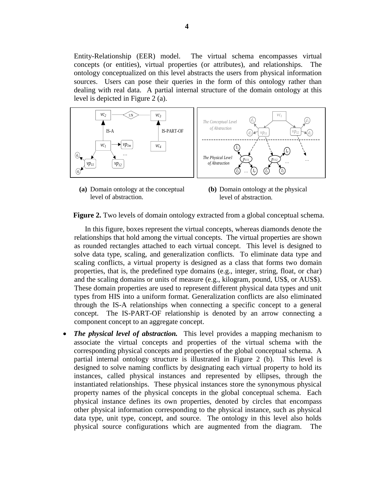Entity-Relationship (EER) model. The virtual schema encompasses virtual concepts (or entities), virtual properties (or attributes), and relationships. The ontology conceptualized on this level abstracts the users from physical information sources. Users can pose their queries in the form of this ontology rather than dealing with real data. A partial internal structure of the domain ontology at this level is depicted in Figure 2 (a).



**(a)** Domain ontology at the conceptual level of abstraction.

**(b)** Domain ontology at the physical level of abstraction.

**Figure 2.** Two levels of domain ontology extracted from a global conceptual schema.

In this figure, boxes represent the virtual concepts, whereas diamonds denote the relationships that hold among the virtual concepts. The virtual properties are shown as rounded rectangles attached to each virtual concept. This level is designed to solve data type, scaling, and generalization conflicts. To eliminate data type and scaling conflicts, a virtual property is designed as a class that forms two domain properties, that is, the predefined type domains (e.g., integer, string, float, or char) and the scaling domains or units of measure (e.g., kilogram, pound, US\$, or AUS\$). These domain properties are used to represent different physical data types and unit types from HIS into a uniform format. Generalization conflicts are also eliminated through the IS-A relationships when connecting a specific concept to a general concept. The IS-PART-OF relationship is denoted by an arrow connecting a component concept to an aggregate concept.

 *The physical level of abstraction.* This level provides a mapping mechanism to associate the virtual concepts and properties of the virtual schema with the corresponding physical concepts and properties of the global conceptual schema. A partial internal ontology structure is illustrated in Figure 2 (b).This level is designed to solve naming conflicts by designating each virtual property to hold its instances, called physical instances and represented by ellipses, through the instantiated relationships. These physical instances store the synonymous physical property names of the physical concepts in the global conceptual schema. Each physical instance defines its own properties, denoted by circles that encompass other physical information corresponding to the physical instance, such as physical data type, unit type, concept, and source. The ontology in this level also holds physical source configurations which are augmented from the diagram. The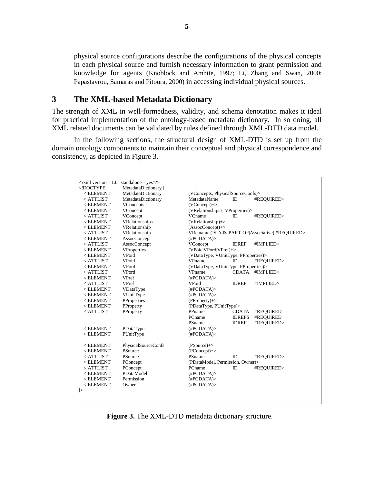physical source configurations describe the configurations of the physical concepts in each physical source and furnish necessary information to grant permission and knowledge for agents (Knoblock and Ambite, 1997; Li, Zhang and Swan, 2000; Papastavrou, Samaras and Pitoura, 2000) in accessing individual physical sources.

#### **3 The XML-based Metadata Dictionary**

The strength of XML in well-formedness, validity, and schema denotation makes it ideal for practical implementation of the ontology-based metadata dictionary. In so doing, all XML related documents can be validated by rules defined through XML-DTD data model.

In the following sections, the structural design of XML-DTD is set up from the domain ontology components to maintain their conceptual and physical correspondence and consistency, as depicted in Figure 3.

| xml version="1.0" standalone="yes"?<br>/th <th>MetadataDictionary [</th> <th></th> <th></th> <th></th>       | MetadataDictionary [ |                                                   |               |            |
|--------------------------------------------------------------------------------------------------------------|----------------------|---------------------------------------------------|---------------|------------|
| $<$ !ELEMENT                                                                                                 | MetadataDictionary   | (VConcepts, PhysicalSourceConfs)>                 |               |            |
| ATTLIST</td <td>MetadataDictionary</td> <td colspan="3">MetadataName<br/>ID<br/>#REOUIRED&gt;</td>           | MetadataDictionary   | MetadataName<br>ID<br>#REOUIRED>                  |               |            |
| ELEMENT</td <td>VConcepts</td> <td><math>(VConcept)</math>+&gt;</td> <td></td> <td></td>                     | VConcepts            | $(VConcept)$ +>                                   |               |            |
| ELEMENT</td <td>VConcept</td> <td colspan="3">(VRelationships?, VProperties)&gt;</td>                        | VConcept             | (VRelationships?, VProperties)>                   |               |            |
| ATTLIST</td <td>VConcept</td> <td colspan="3">VCname<br/>#REOUIRED&gt;<br/>ID</td>                           | VConcept             | VCname<br>#REOUIRED><br>ID                        |               |            |
| $<$ !ELEMENT                                                                                                 | VRelationships       | (VRelationship)+>                                 |               |            |
| $<$ !ELEMENT                                                                                                 | VRelationship        | $(AssociConcept) \rightarrow$                     |               |            |
| ATTLIST</td <td>VRelationship</td> <td colspan="3">VRelname (IS-A IS-PART-OF Associative) #REQUIRED&gt;</td> | VRelationship        | VRelname (IS-A IS-PART-OF Associative) #REQUIRED> |               |            |
| $<$ !ELEMENT                                                                                                 | AssocConcept         | (HPCDATA)                                         |               |            |
| ATTLIST</td <td><b>AssocConcept</b></td> <td>VConcept</td> <td><b>IDREF</b></td> <td>#IMPLIED&gt;</td>       | <b>AssocConcept</b>  | VConcept                                          | <b>IDREF</b>  | #IMPLIED>  |
| $<$ !ELEMENT                                                                                                 | VProperties          | (VPoid VPord VPref)+>                             |               |            |
| ELEMENT</td <td>VPoid</td> <td colspan="3">(VDataType, VUnitType, PProperties)&gt;</td>                      | VPoid                | (VDataType, VUnitType, PProperties)>              |               |            |
| ATTLIST</td <td>VPoid</td> <td>VPname</td> <td>ID</td> <td>#REOUIRED&gt;</td>                                | VPoid                | VPname                                            | ID            | #REOUIRED> |
| $<$ !ELEMENT                                                                                                 | VPord                | (VDataType, VUnitType, PProperties)>              |               |            |
| ATTLIST</td <td>VPord</td> <td>VPname</td> <td>CDATA</td> <td>#IMPLIED&gt;</td>                              | VPord                | VPname                                            | CDATA         | #IMPLIED>  |
| ELEMENT</td <td>VPref</td> <td>(HPCDATA)</td> <td></td> <td></td>                                            | VPref                | (HPCDATA)                                         |               |            |
| ATTLIST</td <td>VPref</td> <td>VPoid</td> <td><b>IDREF</b></td> <td>#IMPLIED&gt;</td>                        | VPref                | VPoid                                             | <b>IDREF</b>  | #IMPLIED>  |
| $<$ !ELEMENT                                                                                                 | VDataType            | (HPCDATA)                                         |               |            |
| ELEMENT</td <td>VUnitType</td> <td>(HPCDATA)</td> <td></td> <td></td>                                        | VUnitType            | (HPCDATA)                                         |               |            |
| $<$ !ELEMENT                                                                                                 | PProperties          | $(PProperty)+>$                                   |               |            |
| $<$ !ELEMENT                                                                                                 | PProperty            | (PDataType, PUnitType)>                           |               |            |
| $<$ !ATTLIST                                                                                                 | PProperty            | PPname                                            | <b>CDATA</b>  | #REQUIRED  |
|                                                                                                              |                      | PCname                                            | <b>IDREFS</b> | #REOUIRED  |
|                                                                                                              |                      | PSname                                            | <b>IDREF</b>  | #REOUIRED> |
| $<$ !ELEMENT                                                                                                 | PDataType            | (HPCDATA)                                         |               |            |
| $<$ !ELEMENT                                                                                                 | PUnitType            | (HPCDATA)                                         |               |            |
|                                                                                                              |                      |                                                   |               |            |
| $<$ !ELEMENT                                                                                                 | PhysicalSourceConfs  | $(PSource)$ +>                                    |               |            |
| $<$ !ELEMENT                                                                                                 | PSource              | $(PConcept) \rightarrow$                          |               |            |
| ATTLIST</td <td>PSource</td> <td>PSname</td> <td>ID</td> <td>#REQUIRED&gt;</td>                              | PSource              | PSname                                            | ID            | #REQUIRED> |
| $<$ !ELEMENT                                                                                                 | PConcept             | (PDataModel, Permission, Owner)>                  |               |            |
| ATTLIST</td <td>PConcept</td> <td>PCname</td> <td>ID</td> <td>#REQUIRED&gt;</td>                             | PConcept             | PCname                                            | ID            | #REQUIRED> |
| $<$ !ELEMENT                                                                                                 | PDataModel           | (HPCDATA)                                         |               |            |
| ELEMENT</td <td>Permission</td> <td>(HPCDATA)</td> <td></td> <td></td>                                       | Permission           | (HPCDATA)                                         |               |            |
| $<$ !ELEMENT                                                                                                 | Owner                | (HPCDATA)                                         |               |            |
| $\geq$                                                                                                       |                      |                                                   |               |            |
|                                                                                                              |                      |                                                   |               |            |
|                                                                                                              |                      |                                                   |               |            |
|                                                                                                              |                      |                                                   |               |            |

**Figure 3.** The XML-DTD metadata dictionary structure.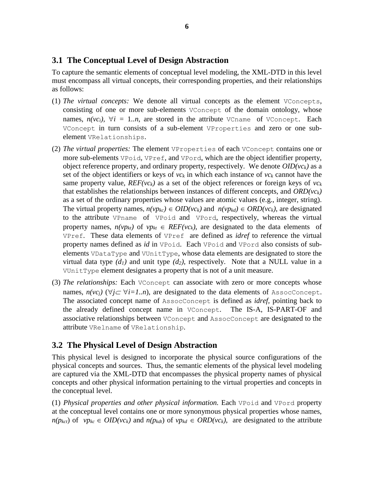#### **3.1 The Conceptual Level of Design Abstraction**

To capture the semantic elements of conceptual level modeling, the XML-DTD in this level must encompass all virtual concepts, their corresponding properties, and their relationships as follows:

- (1) *The virtual concepts:* We denote all virtual concepts as the element VConcepts, consisting of one or more sub-elements VConcept of the domain ontology, whose names,  $n(vc_i)$ ,  $\forall i = 1..n$ , are stored in the attribute VCname of VConcept. Each VConcept in turn consists of a sub-element VProperties and zero or one subelement VRelationships.
- (2) *The virtual properties:* The element VProperties of each VConcept contains one or more sub-elements VPoid, VPref, and VPord, which are the object identifier property, object reference property, and ordinary property, respectively. We denote  $OID(vc_k)$  as a set of the object identifiers or keys of  $vc_k$  in which each instance of  $vc_k$  cannot have the same property value,  $REF(vc_k)$  as a set of the object references or foreign keys of  $vc_k$ that establishes the relationships between instances of different concepts, and *ORD(vck)* as a set of the ordinary properties whose values are atomic values (e.g., integer, string). The virtual property names,  $n(vp_{kc}) \in OID(vc_k)$  and  $n(vp_{kd}) \in ORD(vc_k)$ , are designated to the attribute VPname of VPoid and VPord, respectively, whereas the virtual property names,  $n(vp_{kt})$  of  $vp_{kt} \in REF(vc_k)$ , are designated to the data elements of VPref. These data elements of VPref are defined as *idref* to reference the virtual property names defined as *id* in VPoid. Each VPoid and VPord also consists of subelements VDataType and VUnitType, whose data elements are designated to store the virtual data type  $(d_1)$  and unit type  $(d_2)$ , respectively. Note that a NULL value in a VUnitType element designates a property that is not of a unit measure.
- (3) *The relationships:* Each VConcept can associate with zero or more concepts whose names,  $n(vc_i)$  ( $\forall j \subset \forall i=1..n$ ), are designated to the data elements of AssocConcept. The associated concept name of AssocConcept is defined as *idref,* pointing back to the already defined concept name in VConcept. The IS-A, IS-PART-OF and associative relationships between VConcept and AssocConcept are designated to the attribute VRelname of VRelationship.

#### **3.2 The Physical Level of Design Abstraction**

This physical level is designed to incorporate the physical source configurations of the physical concepts and sources. Thus, the semantic elements of the physical level modeling are captured via the XML-DTD that encompasses the physical property names of physical concepts and other physical information pertaining to the virtual properties and concepts in the conceptual level.

(1) *Physical properties and other physical information.* Each VPoid and VPord property at the conceptual level contains one or more synonymous physical properties whose names,  $n(p_{kct})$  of  $vp_{kc} \in OID(vc_k)$  and  $n(p_{kd})$  of  $vp_{kd} \in ORD(vc_k)$ , are designated to the attribute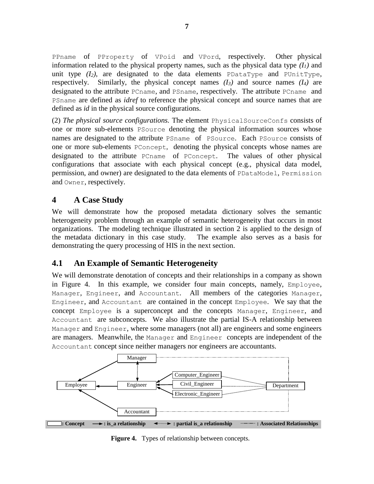PPname of PProperty of VPoid and VPord, respectively. Other physical information related to the physical property names, such as the physical data type  $(I<sub>I</sub>)$  and unit type  $(I_2)$ , are designated to the data elements PDataType and PUnitType, respectively. Similarly, the physical concept names *(I3)* and source names *(I4)* are designated to the attribute PCname, and PSname, respectively. The attribute PCname and PSname are defined as *idref* to reference the physical concept and source names that are defined as *id* in the physical source configurations.

(2) *The physical source configurations.* The element PhysicalSourceConfs consists of one or more sub-elements PSource denoting the physical information sources whose names are designated to the attribute PSname of PSource. Each PSource consists of one or more sub-elements PConcept, denoting the physical concepts whose names are designated to the attribute PCname of PConcept. The values of other physical configurations that associate with each physical concept (e.g., physical data model, permission, and owner) are designated to the data elements of PDataModel, Permission and Owner, respectively.

#### **4 A Case Study**

We will demonstrate how the proposed metadata dictionary solves the semantic heterogeneity problem through an example of semantic heterogeneity that occurs in most organizations. The modeling technique illustrated in section 2 is applied to the design of the metadata dictionary in this case study. The example also serves as a basis for demonstrating the query processing of HIS in the next section.

## **4.1 An Example of Semantic Heterogeneity**

We will demonstrate denotation of concepts and their relationships in a company as shown in Figure 4. In this example, we consider four main concepts, namely, Employee, Manager, Engineer, and Accountant. All members of the categories Manager, Engineer, and Accountant are contained in the concept Employee. We say that the concept Employee is a superconcept and the concepts Manager, Engineer, and Accountant are subconcepts. We also illustrate the partial IS-A relationship between Manager and Engineer, where some managers (not all) are engineers and some engineers are managers. Meanwhile, the Manager and Engineer concepts are independent of the Accountant concept since neither managers nor engineers are accountants.



**Figure 4.** Types of relationship between concepts.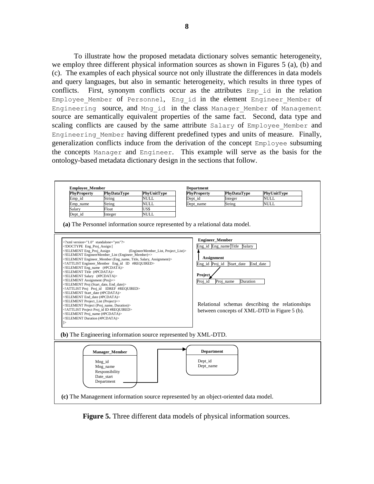To illustrate how the proposed metadata dictionary solves semantic heterogeneity, we employ three different physical information sources as shown in Figures 5 (a), (b) and (c). The examples of each physical source not only illustrate the differences in data models and query languages, but also in semantic heterogeneity, which results in three types of conflicts. First, synonym conflicts occur as the attributes Emp id in the relation Employee Member of Personnel, Eng id in the element Engineer Member of Engineering source, and Mng id in the class Manager Member of Management source are semantically equivalent properties of the same fact. Second, data type and scaling conflicts are caused by the same attribute Salary of Employee Member and Engineering\_Member having different predefined types and units of measure. Finally, generalization conflicts induce from the derivation of the concept Employee subsuming the concepts Manager and Engineer. This example will serve as the basis for the ontology-based metadata dictionary design in the sections that follow.



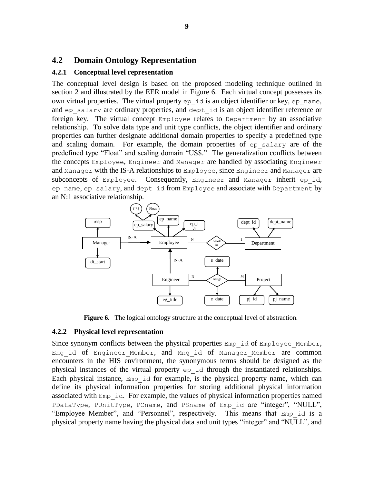#### **4.2 Domain Ontology Representation**

#### **4.2.1 Conceptual level representation**

The conceptual level design is based on the proposed modeling technique outlined in section 2 and illustrated by the EER model in Figure 6. Each virtual concept possesses its own virtual properties. The virtual property  $ep$  id is an object identifier or key,  $ep$  name, and ep\_salary are ordinary properties, and dept\_id is an object identifier reference or foreign key. The virtual concept Employee relates to Department by an associative relationship. To solve data type and unit type conflicts, the object identifier and ordinary properties can further designate additional domain properties to specify a predefined type and scaling domain. For example, the domain properties of ep\_salary are of the predefined type "Float" and scaling domain "US\$." The generalization conflicts between the concepts Employee, Engineer and Manager are handled by associating Engineer and Manager with the IS-A relationships to Employee, since Engineer and Manager are subconcepts of Employee. Consequently, Engineer and Manager inherit ep id, ep name, ep salary, and dept id from Employee and associate with Department by an N:1 associative relationship.



**Figure 6.** The logical ontology structure at the conceptual level of abstraction.

#### **4.2.2 Physical level representation**

Since synonym conflicts between the physical properties  $Emp$  id of  $Emplovee$  Member, Eng id of Engineer Member, and Mng id of Manager Member are common encounters in the HIS environment, the synonymous terms should be designed as the physical instances of the virtual property ep\_id through the instantiated relationships. Each physical instance, Emp\_id for example, is the physical property name, which can define its physical information properties for storing additional physical information associated with Emp\_id. For example, the values of physical information properties named PDataType, PUnitType, PCname, and PSname of Emp id are "integer", "NULL", "Employee Member", and "Personnel", respectively. This means that Emp id is a physical property name having the physical data and unit types "integer" and "NULL", and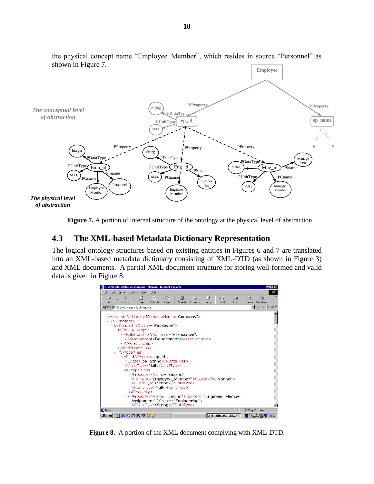

the physical concept name "Employee\_Member", which resides in source "Personnel" as shown in Figure 7.

**Figure 7.** A portion of internal structure of the ontology at the physical level of abstraction.

#### **4.3 The XML-based Metadata Dictionary Representation**

The logical ontology structures based on existing entities in Figures 6 and 7 are translated into an XML-based metadata dictionary consisting of XML-DTD (as shown in Figure 3) and XML documents. A partial XML document structure for storing well-formed and valid data is given in Figure 8. **…**



**Figure 8.** A portion of the XML document complying with XML-DTD.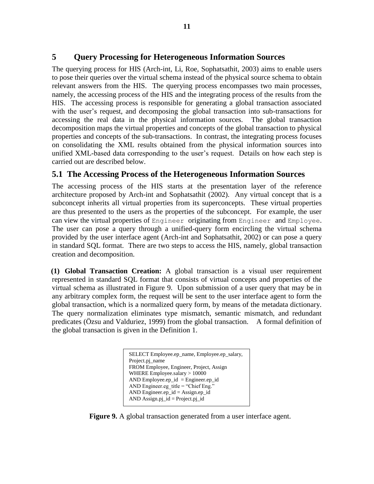#### **5 Query Processing for Heterogeneous Information Sources**

The querying process for HIS (Arch-int, Li, Roe, Sophatsathit, 2003) aims to enable users to pose their queries over the virtual schema instead of the physical source schema to obtain relevant answers from the HIS. The querying process encompasses two main processes, namely, the accessing process of the HIS and the integrating process of the results from the HIS. The accessing process is responsible for generating a global transaction associated with the user's request, and decomposing the global transaction into sub-transactions for accessing the real data in the physical information sources. The global transaction decomposition maps the virtual properties and concepts of the global transaction to physical properties and concepts of the sub-transactions. In contrast, the integrating process focuses on consolidating the XML results obtained from the physical information sources into unified XML-based data corresponding to the user's request. Details on how each step is carried out are described below.

#### **5.1 The Accessing Process of the Heterogeneous Information Sources**

The accessing process of the HIS starts at the presentation layer of the reference architecture proposed by Arch-int and Sophatsathit (2002). Any virtual concept that is a subconcept inherits all virtual properties from its superconcepts. These virtual properties are thus presented to the users as the properties of the subconcept. For example, the user can view the virtual properties of Engineer originating from Engineer and Employee. The user can pose a query through a unified-query form encircling the virtual schema provided by the user interface agent (Arch-int and Sophatsathit, 2002) or can pose a query in standard SQL format. There are two steps to access the HIS, namely, global transaction creation and decomposition.

**(1) Global Transaction Creation:** A global transaction is a visual user requirement represented in standard SQL format that consists of virtual concepts and properties of the virtual schema as illustrated in Figure 9. Upon submission of a user query that may be in any arbitrary complex form, the request will be sent to the user interface agent to form the global transaction, which is a normalized query form, by means of the metadata dictionary. The query normalization eliminates type mismatch, semantic mismatch, and redundant predicates (Özsu and Valduriez, 1999) from the global transaction. A formal definition of the global transaction is given in the Definition 1.

> SELECT Employee.ep\_name, Employee.ep\_salary, Project.pj\_name FROM Employee, Engineer, Project, Assign WHERE Employee.salary > 10000 AND Employee.ep\_id = Engineer.ep\_id AND Engineer.eg\_title = "Chief Eng." AND Engineer.ep\_id = Assign.ep\_id AND Assign.pj\_id = Project.pj\_id

**Figure 9.** A global transaction generated from a user interface agent.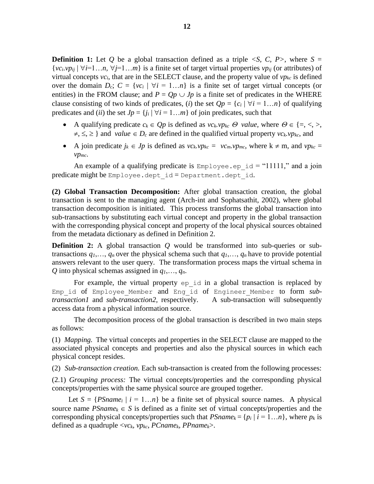**Definition 1:** Let *Q* be a global transaction defined as a triple  $\langle S, C, P \rangle$ , where  $S =$  ${v_{ci}}$ *v<sub>pij</sub>*  $|\forall i=1...n, \forall j=1...m$  is a finite set of target virtual properties  $vp_{ii}$  (or attributes) of virtual concepts  $vc_i$ , that are in the SELECT clause, and the property value of  $vp_{kc}$  is defined over the domain  $D_c$ ;  $C = \{vc_i | \forall i = 1...n\}$  is a finite set of target virtual concepts (or entities) in the FROM clause; and  $P = Qp \cup Jp$  is a finite set of predicates in the WHERE clause consisting of two kinds of predicates, (*i*) the set  $Qp = \{c_i | \forall i = 1...n\}$  of qualifying predicates and (*ii*) the set  $J_p = \{j_i | \forall i = 1...m\}$  of join predicates, such that

- A qualifying predicate  $c_k \in Qp$  is defined as  $vc_k \cdot vp_k \cdot \mathcal{O}$  *value*, where  $\mathcal{O} \in \{ =, <, >, \}$  $\neq, \leq, \geq$  and *value*  $\in$  *D<sub>c</sub>* are defined in the qualified virtual property *vc<sub>k</sub>.vp<sub>kc</sub>*, and
- A join predicate  $j_k \in J_p$  is defined as  $vc_k, vp_{kc} = vc_m, vp_{mc}$ , where  $k \neq m$ , and  $vp_{kc} =$ *vpmc*.

An example of a qualifying predicate is  $Employee \neq id = "11111,"$  and a join predicate might be Employee.dept\_id = Department.dept\_id.

**(2) Global Transaction Decomposition:** After global transaction creation, the global transaction is sent to the managing agent (Arch-int and Sophatsathit, 2002), where global transaction decomposition is initiated. This process transforms the global transaction into sub-transactions by substituting each virtual concept and property in the global transaction with the corresponding physical concept and property of the local physical sources obtained from the metadata dictionary as defined in Definition 2.

**Definition 2:** A global transaction *Q* would be transformed into sub-queries or subtransactions  $q_1, \ldots, q_n$  over the physical schema such that  $q_1, \ldots, q_n$  have to provide potential answers relevant to the user query. The transformation process maps the virtual schema in *Q* into physical schemas assigned in *q1*,…, *qn*.

For example, the virtual property ep id in a global transaction is replaced by Emp id of Employee Member and Eng id of Engineer Member to form *subtransaction1* and *sub-transaction2,* respectively. A sub-transaction will subsequently access data from a physical information source.

The decomposition process of the global transaction is described in two main steps as follows:

(1) *Mapping.* The virtual concepts and properties in the SELECT clause are mapped to the associated physical concepts and properties and also the physical sources in which each physical concept resides.

(2) *Sub-transaction creation.* Each sub-transaction is created from the following processes:

(2.1) *Grouping process:* The virtual concepts/properties and the corresponding physical concepts/properties with the same physical source are grouped together.

Let  $S = {PSpanne_i | i = 1...n}$  be a finite set of physical source names. A physical source name  $PSname_k \in S$  is defined as a finite set of virtual concepts/properties and the corresponding physical concepts/properties such that  $PShame_k = \{p_i \mid i = 1...n\}$ , where  $p_k$  is defined as a quadruple <*vck*, *vpkc*, *PCnamek, PPnamek*>.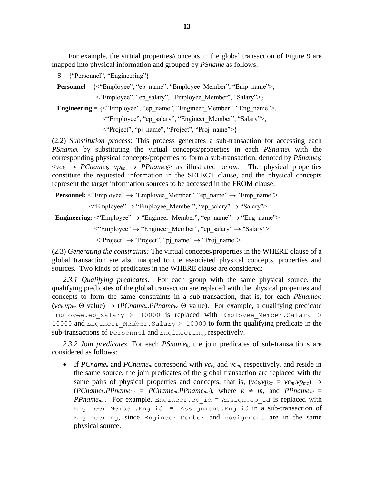For example, the virtual properties/concepts in the global transaction of Figure 9 are mapped into physical information and grouped by *PSname* as follows:

 $S = {$ "Personnel", "Engineering"}

 **Personnel =** {<"Employee", "ep\_name", "Employee\_Member", "Emp\_name">,

<"Employee", "ep\_salary", "Employee\_Member", "Salary">}

**Engineering =**  $\langle\langle\langle\text{Emplovec}\rangle\rangle, \langle\text{rep_name}\rangle\rangle, \langle\text{Engineer Member}\rangle, \langle\text{Eng name}\rangle\rangle,$ 

<"Employee", "ep\_salary", "Engineer\_Member", "Salary">,

<"Project", "pj\_name", "Project", "Proj\_name">}

(2.2) *Substitution process*: This process generates a sub-transaction for accessing each *PSname<sup>k</sup>* by substituting the virtual concepts/properties in each *PSname<sup>k</sup>* with the corresponding physical concepts/properties to form a sub-transaction, denoted by *PSnamek*:  $\langle \nu c_k \rangle$  *PCname<sub>k</sub>*,  $\nu p_k c$  *PPname<sub>k</sub>*> as illustrated below. The physical properties constitute the requested information in the SELECT clause, and the physical concepts represent the target information sources to be accessed in the FROM clause.

**Personnel:**  $\leq$ "Employee"  $\rightarrow$  "Employee\_Member", "ep\_name"  $\rightarrow$  "Emp\_name">

 $\langle$ "Employee"  $\rightarrow$  "Employee\_Member", "ep\_salary"  $\rightarrow$  "Salary">

**Engineering:**  $\leq$ "Employee"  $\rightarrow$  "Engineer Member", "ep\_name"  $\rightarrow$  "Eng\_name">

 $\langle$ "Employee"  $\rightarrow$  "Engineer Member", "ep\_salary"  $\rightarrow$  "Salary">

 $\langle$ "Project"  $\rightarrow$  "Project", "pj\_name"  $\rightarrow$  "Proj\_name">

(2.3) *Generating the constraints:* The virtual concepts/properties in the WHERE clause of a global transaction are also mapped to the associated physical concepts, properties and sources. Two kinds of predicates in the WHERE clause are considered:

*2.3.1 Qualifying predicates*. For each group with the same physical source, the qualifying predicates of the global transaction are replaced with the physical properties and concepts to form the same constraints in a sub-transaction, that is, for each *PSnamek*:  $(vc_k.vp_kc \Theta$  value)  $\rightarrow (PCname_k.PPname_kc \Theta$  value). For example, a qualifying predicate Employee.ep salary > 10000 is replaced with Employee Member.Salary > 10000 and Engineer Member. Salary > 10000 to form the qualifying predicate in the sub-transactions of Personnel and Engineering, respectively.

*2.3.2 Join predicates*. For each *PSnamek*, the join predicates of sub-transactions are considered as follows:

If *PCname<sub>k</sub>* and *PCname<sub>m</sub>* correspond with  $vc_k$ , and  $vc_m$ , respectively, and reside in the same source, the join predicates of the global transaction are replaced with the same pairs of physical properties and concepts, that is,  $(vc_k \cdot vp_kc = vc_m \cdot vp_{mc}) \rightarrow$  $(PCname_k.PPname_kc = PCname_m.PPname_mc)$ , where  $k \neq m$ , and  $PPname_kc =$ *PPname<sub>mc</sub>*. For example, Engineer.ep id = Assign.ep id is replaced with Engineer Member. Eng\_id = Assignment. Eng\_id in a sub-transaction of Engineering, since Engineer Member and Assignment are in the same physical source.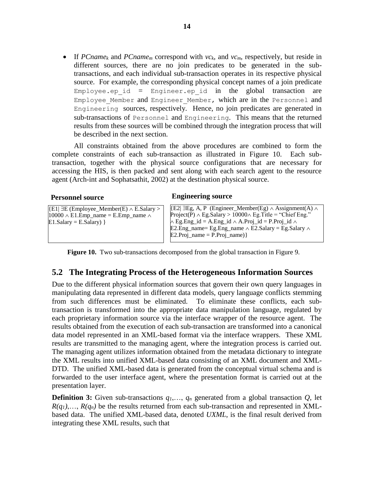If *PCname<sup>k</sup>* and *PCname<sup>m</sup>* correspond with *vck*, and *vcm*, respectively, but reside in different sources, there are no join predicates to be generated in the subtransactions, and each individual sub-transaction operates in its respective physical source. For example, the corresponding physical concept names of a join predicate Employee.ep id = Engineer.ep id in the global transaction are Employee Member and Engineer Member, which are in the Personnel and Engineering sources, respectively. Hence, no join predicates are generated in sub-transactions of Personnel and Engineering. This means that the returned results from these sources will be combined through the integration process that will be described in the next section.

All constraints obtained from the above procedures are combined to form the complete constraints of each sub-transaction as illustrated in Figure 10. Each subtransaction, together with the physical source configurations that are necessary for accessing the HIS, is then packed and sent along with each search agent to the resource agent (Arch-int and Sophatsathit, 2002) at the destination physical source.

 ${E1|\exists E (Employee\_Member(E) \wedge E.Salary >}$  $10000 \wedge E1$ .Emp\_name = E.Emp\_name  $\wedge$  $E1.Salary = E.Salary$  }

#### **Personnel source Engineering source**

 $\overline{E2|\exists Eg, A, P}$  (Engineer Member(Eg)  $\land$  Assignment(A)  $\land$ Project(P)  $\land$  Eg.Salary  $> 10000 \land$  Eg.Title = "Chief Eng."  $\land$  Eg.Eng\_id = A.Eng\_id  $\land$  A.Proj\_id = P.Proj\_id  $\land$ E2.Eng\_name= Eg.Eng\_name  $\land$  E2.Salary = Eg.Salary  $\land$  $E2.Proj_name = P.Proj_name)$ 

**Figure 10.** Two sub-transactions decomposed from the global transaction in Figure 9.

#### **5.2 The Integrating Process of the Heterogeneous Information Sources**

Due to the different physical information sources that govern their own query languages in manipulating data represented in different data models, query language conflicts stemming from such differences must be eliminated. To eliminate these conflicts, each subtransaction is transformed into the appropriate data manipulation language, regulated by each proprietary information source via the interface wrapper of the resource agent. The results obtained from the execution of each sub-transaction are transformed into a canonical data model represented in an XML-based format via the interface wrappers. These XML results are transmitted to the managing agent, where the integration process is carried out. The managing agent utilizes information obtained from the metadata dictionary to integrate the XML results into unified XML-based data consisting of an XML document and XML-DTD. The unified XML-based data is generated from the conceptual virtual schema and is forwarded to the user interface agent, where the presentation format is carried out at the presentation layer.

**Definition 3:** Given sub-transactions *q1*,…, *q<sup>n</sup>* generated from a global transaction *Q*, let  $R(q_1)$ ,  $R(q_n)$  be the results returned from each sub-transaction and represented in XMLbased data. The unified XML-based data, denoted *UXML*, is the final result derived from integrating these XML results, such that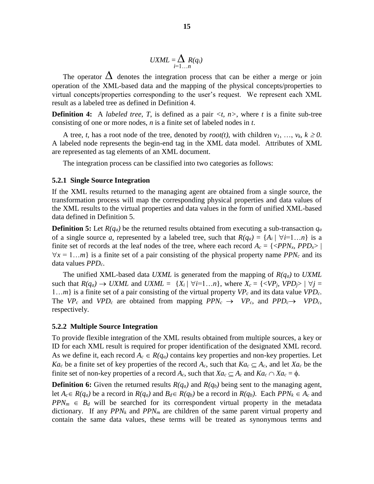$$
UXML = \sum_{i=1...n} R(q_i)
$$

The operator  $\Delta$  denotes the integration process that can be either a merge or join operation of the XML-based data and the mapping of the physical concepts/properties to virtual concepts/properties corresponding to the user's request. We represent each XML result as a labeled tree as defined in Definition 4.

**Definition 4:** A *labeled tree*, *T*, is defined as a pair  $\langle t, n \rangle$ , where *t* is a finite sub-tree consisting of one or more nodes, *n* is a finite set of labeled nodes in *t*.

A tree, *t*, has a root node of the tree, denoted by  $root(t)$ , with children  $v_1, \ldots, v_k, k \ge 0$ . A labeled node represents the begin-end tag in the XML data model. Attributes of XML are represented as tag elements of an XML document.

The integration process can be classified into two categories as follows:

#### **5.2.1 Single Source Integration**

If the XML results returned to the managing agent are obtained from a single source, the transformation process will map the corresponding physical properties and data values of the XML results to the virtual properties and data values in the form of unified XML-based data defined in Definition 5.

**Definition 5:** Let  $R(q_a)$  be the returned results obtained from executing a sub-transaction  $q_a$ of a single source *a*, represented by a labeled tree, such that  $R(q_a) = \{A_i \mid \forall i=1...n\}$  is a finite set of records at the leaf nodes of the tree, where each record  $A_c = \{ \langle PPN_x, PPD_x \rangle \mid$  $\forall x = 1...m$  is a finite set of a pair consisting of the physical property name *PPN<sub>c</sub>* and its data values *PPDc*.

The unified XML-based data *UXML* is generated from the mapping of *R(qa)* to *UXML* such that  $R(q_a) \rightarrow UXML$  and  $UXML = \{X_i \mid \forall i=1...n\}$ , where  $X_c = \{\langle VP_j, VPD_j \rangle \mid \forall j=1...n\}$ 1…*m*} is a finite set of a pair consisting of the virtual property *VP<sup>c</sup>* and its data value *VPDc*. The  $VP_c$  and  $VPD_c$  are obtained from mapping  $PPN_c \rightarrow VP_c$ , and  $PPD_c \rightarrow VPD_c$ , respectively.

#### **5.2.2 Multiple Source Integration**

To provide flexible integration of the XML results obtained from multiple sources, a key or ID for each XML result is required for proper identification of the designated XML record. As we define it, each record  $A_c \in R(q_a)$  contains key properties and non-key properties. Let *Ka*<sub>c</sub> be a finite set of key properties of the record  $A_c$ , such that  $Ka_c \subseteq A_c$ , and let  $Xa_c$  be the finite set of non-key properties of a record  $A_c$ , such that  $Xa_c \subseteq A_c$  and  $Ka_c \cap Xa_c = \phi$ .

**Definition 6:** Given the returned results  $R(q_a)$  and  $R(q_b)$  being sent to the managing agent, let  $A_c \in R(q_a)$  be a record in  $R(q_a)$  and  $B_d \in R(q_b)$  be a record in  $R(q_b)$ . Each  $PPN_k \in A_c$  and  $PPN<sub>m</sub> \in B<sub>d</sub>$  will be searched for its correspondent virtual property in the metadata dictionary. If any *PPN<sup>k</sup>* and *PPN<sup>m</sup>* are children of the same parent virtual property and contain the same data values, these terms will be treated as synonymous terms and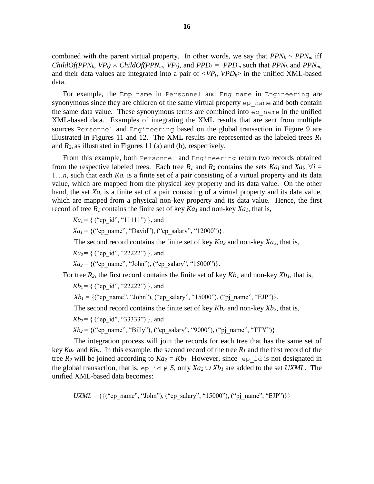combined with the parent virtual property. In other words, we say that  $PPN_k \sim PPN_m$  iff *ChildOf(PPN<sub>k</sub>, VP<sub>t</sub>*)  $\land$  *ChildOf(PPN<sub>m</sub>, VP<sub>t</sub>*)*,* and *PPD<sub>k</sub>* = *PPD<sub>m</sub>* such that *PPN<sub>k</sub>* and *PPN<sub>m</sub>*, and their data values are integrated into a pair of  $\langle VP_t, VPD_k \rangle$  in the unified XML-based data.

For example, the Emp name in Personnel and Eng name in Engineering are synonymous since they are children of the same virtual property ep\_name and both contain the same data value. These synonymous terms are combined into  $ep$  name in the unified XML-based data. Examples of integrating the XML results that are sent from multiple sources Personnel and Engineering based on the global transaction in Figure 9 are illustrated in Figures 11 and 12. The XML results are represented as the labeled trees  $R_I$ and *R2*, as illustrated in Figures 11 (a) and (b), respectively.

From this example, both Personnel and Engineering return two records obtained from the respective labeled trees. Each tree  $R_1$  and  $R_2$  contains the sets  $Ka_i$  and  $Xa_i$ ,  $\forall i =$ 1…*n*, such that each *Ka<sup>i</sup>* is a finite set of a pair consisting of a virtual property and its data value, which are mapped from the physical key property and its data value. On the other hand, the set *Xa<sup>i</sup>* is a finite set of a pair consisting of a virtual property and its data value, which are mapped from a physical non-key property and its data value. Hence, the first record of tree  $R_1$  contains the finite set of key  $Ka_1$  and non-key  $Xa_1$ , that is,

 $Ka_1 = \{$  ("ep\_id", "11111") }, and

*Xa*<sub>1</sub> = {("ep\_name", "David"), ("ep\_salary", "12000")}.

The second record contains the finite set of key *Ka<sup>2</sup>* and non-key *Xa2*, that is,

 $Ka_2 = \{$  ("ep\_id", "22222") }, and

 $Xa_2 = \{("ep_name", "John"), ("ep salary", "15000")\}.$ 

For tree  $R_2$ , the first record contains the finite set of key  $Kb_1$  and non-key  $Xb_1$ , that is,

 $Kb_1 = \{$  ("ep\_id", "22222") }, and

 $Xb_1 = \{("ep name", "John"), ("ep salary", "15000"), ("pj_name", "EJP" )\}.$ 

The second record contains the finite set of key *Kb<sup>2</sup>* and non-key *Xb2*, that is,

 $Kb_2$  = { ("ep\_id", "33333") }, and

 $Xb_2 = \{("ep name", "Billy"), ("ep salary", "9000"), ("pj_name", "TTY")\}.$ 

The integration process will join the records for each tree that has the same set of key  $Ka_c$  and  $Kb_k$ . In this example, the second record of the tree  $R_l$  and the first record of the tree  $R_2$  will be joined according to  $Ka_2 = Kb_1$ . However, since ep id is not designated in the global transaction, that is, ep\_id  $\notin S$ , only  $Xa_2 \cup Xb_1$  are added to the set *UXML*. The unified XML-based data becomes:

*UXML* = { $\{({\text{``ep\_name''}, \text{``John''}}), ({\text{``ep\_salary''}, \text{``15000''}}), ({\text{``pj\_name''}, \text{``EJP''}})\}$ }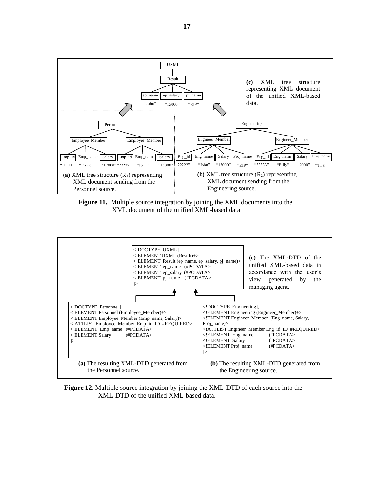

**Figure 11.** Multiple source integration by joining the XML documents into the XML document of the unified XML-based data.



**Figure 12.** Multiple source integration by joining the XML-DTD of each source into the XML-DTD of the unified XML-based data.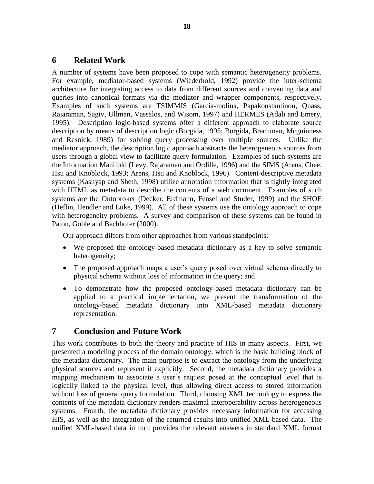#### **6 Related Work**

A number of systems have been proposed to cope with semantic heterogeneity problems. For example, mediator-based systems (Wiederhold, 1992) provide the inter-schema architecture for integrating access to data from different sources and converting data and queries into canonical formats via the mediator and wrapper components, respectively. Examples of such systems are TSIMMIS (Garcia-molina, Papakonstantinou, Quass, Rajaraman, Sagiv, Ullman, Vassalos, and Wisom, 1997) and HERMES (Adali and Emery, 1995). Description logic-based systems offer a different approach to elaborate source description by means of description logic (Borgida, 1995; Borgida, Brachman, Mcguinness and Resnick, 1989) for solving query processing over multiple sources. Unlike the mediator approach, the description logic approach abstracts the heterogeneous sources from users through a global view to facilitate query formulation. Examples of such systems are the Information Manifold (Levy, Rajaraman and Ordille, 1996) and the SIMS (Arens, Chee, Hsu and Knoblock, 1993; Arens, Hsu and Knoblock, 1996). Content-descriptive metadata systems (Kashyap and Sheth, 1998) utilize annotation information that is tightly integrated with HTML as metadata to describe the contents of a web document. Examples of such systems are the Ontobroker (Decker, Erdmann, Fensel and Studer, 1999) and the SHOE (Heflin, Hendler and Luke, 1999). All of these systems use the ontology approach to cope with heterogeneity problems. A survey and comparison of these systems can be found in Paton, Goble and Bechhofer (2000).

Our approach differs from other approaches from various standpoints:

- We proposed the ontology-based metadata dictionary as a key to solve semantic heterogeneity;
- The proposed approach maps a user's query posed over virtual schema directly to physical schema without loss of information in the query; and
- To demonstrate how the proposed ontology-based metadata dictionary can be applied to a practical implementation, we present the transformation of the ontology-based metadata dictionary into XML-based metadata dictionary representation.

## **7 Conclusion and Future Work**

This work contributes to both the theory and practice of HIS in many aspects. First, we presented a modeling process of the domain ontology, which is the basic building block of the metadata dictionary. The main purpose is to extract the ontology from the underlying physical sources and represent it explicitly. Second, the metadata dictionary provides a mapping mechanism to associate a user's request posed at the conceptual level that is logically linked to the physical level, thus allowing direct access to stored information without loss of general query formulation. Third, choosing XML technology to express the contents of the metadata dictionary renders maximal interoperability across heterogeneous systems. Fourth, the metadata dictionary provides necessary information for accessing HIS, as well as the integration of the returned results into unified XML-based data. The unified XML-based data in turn provides the relevant answers in standard XML format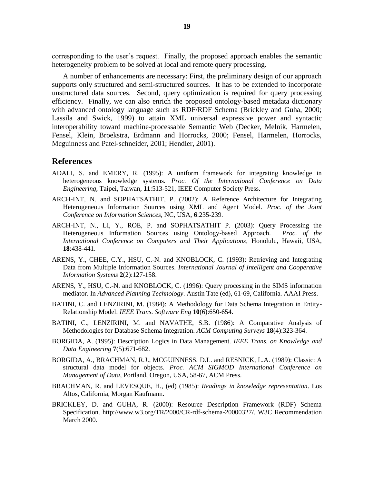corresponding to the user's request. Finally, the proposed approach enables the semantic heterogeneity problem to be solved at local and remote query processing.

A number of enhancements are necessary: First, the preliminary design of our approach supports only structured and semi-structured sources. It has to be extended to incorporate unstructured data sources. Second, query optimization is required for query processing efficiency. Finally, we can also enrich the proposed ontology-based metadata dictionary with advanced ontology language such as RDF/RDF Schema (Brickley and Guha, 2000; Lassila and Swick, 1999) to attain XML universal expressive power and syntactic interoperability toward machine-processable Semantic Web (Decker, Melnik, Harmelen, Fensel, Klein, Broekstra, Erdmann and Horrocks, 2000; Fensel, Harmelen, Horrocks, Mcguinness and Patel-schneider, 2001; Hendler, 2001).

#### **References**

- ADALI, S. and EMERY, R. (1995): A uniform framework for integrating knowledge in heterogeneous knowledge systems. *Proc. Of the International Conference on Data Engineering,* Taipei, Taiwan, **11**:513-521, IEEE Computer Society Press.
- ARCH-INT, N. and SOPHATSATHIT, P. (2002): A Reference Architecture for Integrating Heterogeneous Information Sources using XML and Agent Model. *Proc. of the Joint Conference on Information Sciences*, NC, USA, **6**:235-239.
- ARCH-INT, N., LI, Y., ROE, P. and SOPHATSATHIT P. (2003): Query Processing the Heterogeneous Information Sources using Ontology-based Approach. *Proc. of the International Conference on Computers and Their Applications*, Honolulu, Hawaii, USA, **18**:438-441.
- ARENS, Y., CHEE, C.Y., HSU, C.-N. and KNOBLOCK, C. (1993): Retrieving and Integrating Data from Multiple Information Sources. *International Journal of Intelligent and Cooperative Information Systems* **2**(2):127-158.
- ARENS, Y., HSU, C.-N. and KNOBLOCK, C. (1996): Query processing in the SIMS information mediator. In *Advanced Planning Technology*. Austin Tate (ed), 61-69, California. AAAI Press.
- BATINI, C. and LENZIRINI, M. (1984): A Methodology for Data Schema Integration in Entity-Relationship Model. *IEEE Trans. Software Eng* **10**(6):650-654.
- BATINI, C., LENZIRINI, M. and NAVATHE, S.B. (1986): A Comparative Analysis of Methodologies for Database Schema Integration. *ACM Computing Surveys* **18**(4):323-364.
- BORGIDA, A. (1995): Description Logics in Data Management*. IEEE Trans. on Knowledge and Data Engineering* **7**(5):671-682.
- BORGIDA, A., BRACHMAN, R.J., MCGUINNESS, D.L. and RESNICK, L.A. (1989): Classic: A structural data model for objects. *Proc. ACM SIGMOD International Conference on Management of Data*, Portland, Oregon, USA, 58-67, ACM Press.
- BRACHMAN, R. and LEVESQUE, H., (ed) (1985): *Readings in knowledge representation*. Los Altos, California, Morgan Kaufmann.
- BRICKLEY, D. and GUHA, R. (2000): Resource Description Framework (RDF) Schema Specification. http://www.w3.org/TR/2000/CR-rdf-schema-20000327/. W3C Recommendation March 2000.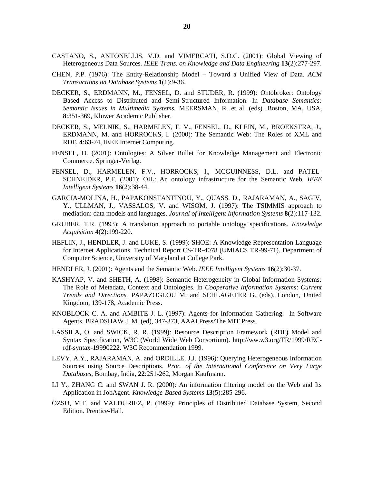- CASTANO, S., ANTONELLIS, V.D. and VIMERCATI, S.D.C. (2001): Global Viewing of Heterogeneous Data Sources*. IEEE Trans. on Knowledge and Data Engineering* **13**(2):277-297.
- CHEN, P.P. (1976): The Entity-Relationship Model Toward a Unified View of Data. *ACM Transactions on Database Systems* **1**(1):9-36.
- DECKER, S., ERDMANN, M., FENSEL, D. and STUDER, R. (1999): Ontobroker: Ontology Based Access to Distributed and Semi-Structured Information. In *Database Semantics: Semantic Issues in Multimedia Systems*. MEERSMAN, R. et al. (eds). Boston, MA, USA, **8**:351-369, Kluwer Academic Publisher.
- DECKER, S., MELNIK, S., HARMELEN, F. V., FENSEL, D., KLEIN, M., BROEKSTRA, J., ERDMANN, M. and HORROCKS, I. (2000): The Semantic Web: The Roles of XML and RDF, **4**:63-74, IEEE Internet Computing.
- FENSEL, D. (2001): Ontologies: A Silver Bullet for Knowledge Management and Electronic Commerce. Springer-Verlag.
- FENSEL, D., HARMELEN, F.V., HORROCKS, I., MCGUINNESS, D.L. and PATEL-SCHNEIDER, P.F. (2001): OIL: An ontology infrastructure for the Semantic Web. *IEEE Intelligent Systems* **16**(2):38-44.
- GARCIA-MOLINA, H., PAPAKONSTANTINOU, Y., QUASS, D., RAJARAMAN, A., SAGIV, Y., ULLMAN, J., VASSALOS, V. and WISOM, J. (1997): The TSIMMIS approach to mediation: data models and languages. *Journal of Intelligent Information Systems* **8**(2):117-132.
- GRUBER, T.R. (1993): A translation approach to portable ontology specifications. *Knowledge Acquisition* **4**(2):199-220.
- HEFLIN, J., HENDLER, J. and LUKE, S. (1999): SHOE: A Knowledge Representation Language for Internet Applications. Technical Report CS-TR-4078 (UMIACS TR-99-71). Department of Computer Science, University of Maryland at College Park.
- HENDLER, J. (2001): Agents and the Semantic Web. *IEEE Intelligent Systems* **16**(2):30-37.
- KASHYAP, V. and SHETH, A. (1998): Semantic Heterogeneity in Global Information Systems*:*  The Role of Metadata, Context and Ontologies. In *Cooperative Information Systems*: *Current Trends and Directions.* PAPAZOGLOU M. and SCHLAGETER G. (eds). London, United Kingdom, 139-178, Academic Press.
- KNOBLOCK C. A. and AMBITE J. L. (1997): Agents for Information Gathering. In Software Agents. BRADSHAW J. M. (ed), 347-373, AAAI Press/The MIT Press.
- LASSILA, O. and SWICK, R. R. (1999): Resource Description Framework (RDF) Model and Syntax Specification, W3C (World Wide Web Consortium). http://ww.w3.org/TR/1999/RECrdf-syntax-19990222. W3C Recommendation 1999.
- LEVY, A.Y., RAJARAMAN, A. and ORDILLE, J.J. (1996): Querying Heterogeneous Information Sources using Source Descriptions. *Proc. of the International Conference on Very Large Databases,* Bombay, India, **22**:251-262, Morgan Kaufmann.
- LI Y., ZHANG C. and SWAN J. R. (2000): An information filtering model on the Web and Its Application in JobAgent. *Knowledge-Based Systems* **13**(5):285-296.
- ÖZSU, M.T. and VALDURIEZ, P. (1999): Principles of Distributed Database System, Second Edition. Prentice-Hall.